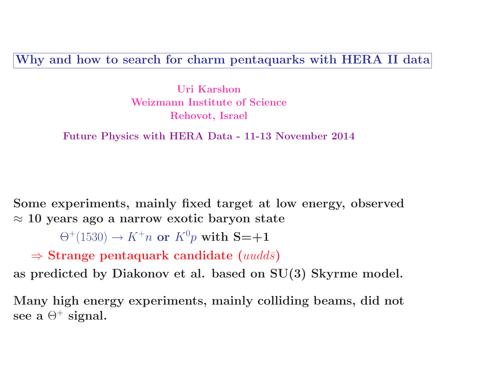Why and how to search for charm pentaquarks with HERA II data

Uri Karshon Weizmann Institute of Science Rehovot, Israel

Future Physics with HERA Data - 11-13 November 2014

Some experiments, mainly fixed target at low energy, observed  $\approx$  10 years ago a narrow exotic baryon state

 $\Theta^+(1530) \rightarrow K^+n$  or  $K^0p$  with  $S=\pm 1$ 

 $\Rightarrow$  Strange pentaquark candidate (*uudds*)

as predicted by Diakonov et al. based on SU(3) Skyrme model.

Many high energy experiments, mainly colliding beams, did not see a  $\Theta^+$  signal.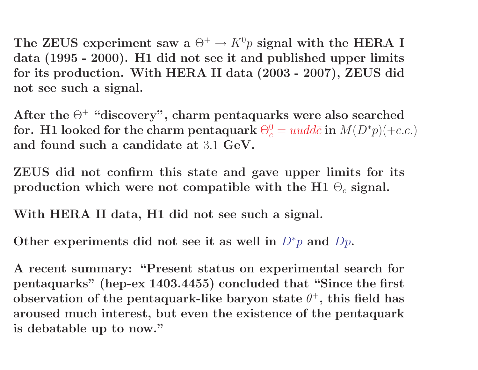The ZEUS experiment saw a  $\Theta^+ \to K^0 p$  signal with the HERA I data (1995 - 2000). H1 did not see it and published upper limits for its production. With HERA II data (2003 - 2007), ZEUS did not see such a signal.

After the  $\Theta^+$  "discovery", charm pentaquarks were also searched for. H1 looked for the charm pentaquark  $\Theta_c^0 = uudd\bar{c}$  in  $M(D^*p)(+c.c.)$ and found such a candidate at 3.1 GeV.

ZEUS did not confirm this state and gave upper limits for its production which were not compatible with the H1  $\Theta_c$  signal.

With HERA II data, H1 did not see such a signal.

Other experiments did not see it as well in  $D^*p$  and  $Dp$ .

A recent summary: "Present status on experimental search for pentaquarks" (hep-ex 1403.4455) concluded that "Since the first observation of the pentaquark-like baryon state  $\theta^+$ , this field has aroused much interest, but even the existence of the pentaquark is debatable up to now."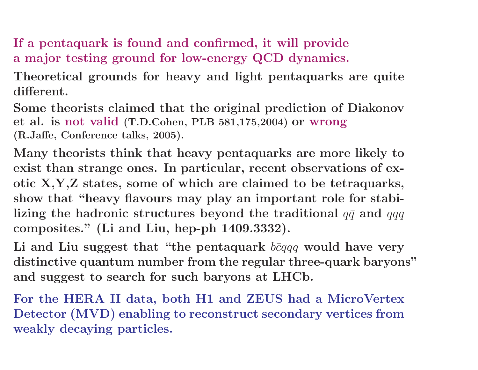If a pentaquark is found and confirmed, it will provide a major testing ground for low-energy QCD dynamics.

Theoretical grounds for heavy and light pentaquarks are quite different.

Some theorists claimed that the original prediction of Diakonov et al. is not valid (T.D.Cohen, PLB 581,175,2004) or wrong (R.Jaffe, Conference talks, 2005).

Many theorists think that heavy pentaquarks are more likely to exist than strange ones. In particular, recent observations of exotic X,Y,Z states, some of which are claimed to be tetraquarks, show that "heavy flavours may play an important role for stabilizing the hadronic structures beyond the traditional  $q\bar{q}$  and  $qqq$ composites." (Li and Liu, hep-ph 1409.3332).

Li and Liu suggest that "the pentaquark  $b\bar{c}qqq$  would have very distinctive quantum number from the regular three-quark baryons" and suggest to search for such baryons at LHCb.

For the HERA II data, both H1 and ZEUS had a MicroVertex Detector (MVD) enabling to reconstruct secondary vertices from weakly decaying particles.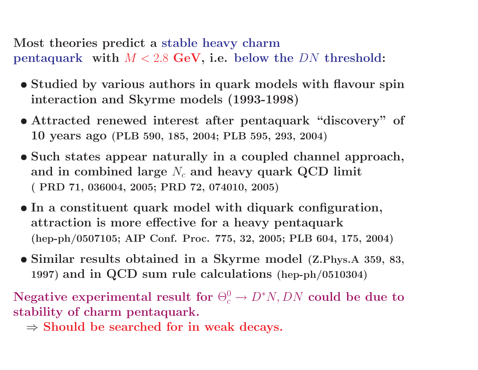Most theories predict a stable heavy charm pentaquark with  $M < 2.8$  GeV, i.e. below the DN threshold:

- Studied by various authors in quark models with flavour spin interaction and Skyrme models (1993-1998)
- Attracted renewed interest after pentaquark "discovery" of 10 years ago (PLB 590, 185, 2004; PLB 595, 293, 2004)
- Such states appear naturally in a coupled channel approach, and in combined large  $N_c$  and heavy quark QCD limit ( PRD 71, 036004, 2005; PRD 72, 074010, 2005)
- In a constituent quark model with diquark configuration, attraction is more effective for a heavy pentaquark (hep-ph/0507105; AIP Conf. Proc. 775, 32, 2005; PLB 604, 175, 2004)
- Similar results obtained in a Skyrme model (Z.Phys.A 359, 83, 1997) and in QCD sum rule calculations (hep-ph/0510304)

Negative experimental result for  $\Theta_c^0 \to D^*N, DN$  could be due to stability of charm pentaquark.

 $\Rightarrow$  Should be searched for in weak decays.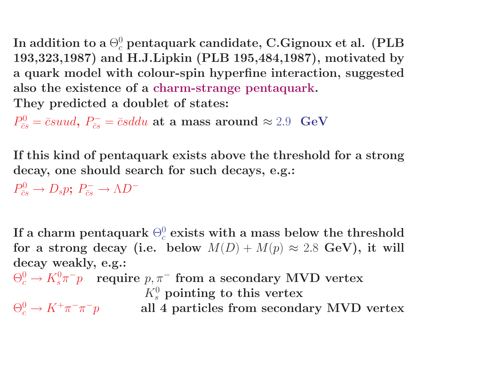In addition to a  $\Theta_c^0$  pentaquark candidate, C.Gignoux et al. (PLB 193,323,1987) and H.J.Lipkin (PLB 195,484,1987), motivated by a quark model with colour-spin hyperfine interaction, suggested also the existence of a charm-strange pentaquark. They predicted a doublet of states:

 $P_{\bar{c}s}^0 = \bar{c}s u u d$ ,  $P_{\bar{c}s}^- = \bar{c}s d du$  at a mass around  $\approx 2.9$  GeV

If this kind of pentaquark exists above the threshold for a strong decay, one should search for such decays, e.g.:

 $P_{\bar{c}s}^0 \rightarrow D_s p; P_{\bar{c}s} \rightarrow \Lambda D^-$ 

If a charm pentaquark  $\Theta^0_c$  exists with a mass below the threshold for a strong decay (i.e. below  $M(D) + M(p) \approx 2.8$  GeV), it will decay weakly, e.g.:

$$
\Theta_c^0 \to K_s^0 \pi^- p \quad \text{require } p, \pi^- \text{ from a secondary MVD vertex}
$$
\n
$$
K_s^0 \text{ pointing to this vertex}
$$
\n
$$
\Theta_c^0 \to K^+ \pi^- \pi^- p \qquad \text{all 4 particles from secondary MVD vertex}
$$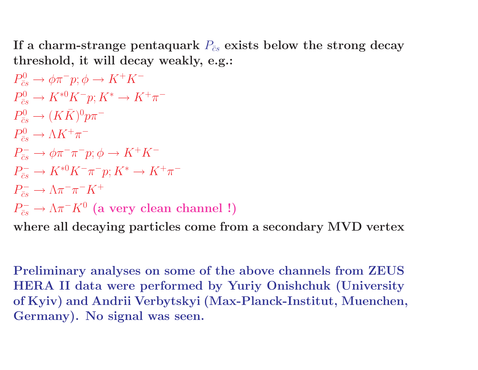If a charm-strange pentaquark  $P_{\bar{c}s}$  exists below the strong decay threshold, it will decay weakly, e.g.:

$$
P_{\overline{c}s}^{0} \rightarrow \phi \pi^{-} p; \phi \rightarrow K^{+} K^{-}
$$
  
\n
$$
P_{\overline{c}s}^{0} \rightarrow K^{*0} K^{-} p; K^{*} \rightarrow K^{+} \pi^{-}
$$
  
\n
$$
P_{\overline{c}s}^{0} \rightarrow (K \overline{K})^{0} p \pi^{-}
$$
  
\n
$$
P_{\overline{c}s}^{0} \rightarrow \Lambda K^{+} \pi^{-}
$$
  
\n
$$
P_{\overline{c}s}^{-} \rightarrow \phi \pi^{-} \pi^{-} p; \phi \rightarrow K^{+} K^{-}
$$
  
\n
$$
P_{\overline{c}s}^{-} \rightarrow K^{*0} K^{-} \pi^{-} p; K^{*} \rightarrow K^{+} \pi^{-}
$$
  
\n
$$
P_{\overline{c}s}^{-} \rightarrow \Lambda \pi^{-} \pi^{-} K^{+}
$$
  
\n
$$
P_{\overline{c}s}^{-} \rightarrow \Lambda \pi^{-} K^{0}
$$
 (a very clean channel !)

where all decaying particles come from a secondary MVD vertex

Preliminary analyses on some of the above channels from ZEUS HERA II data were performed by Yuriy Onishchuk (University of Kyiv) and Andrii Verbytskyi (Max-Planck-Institut, Muenchen, Germany). No signal was seen.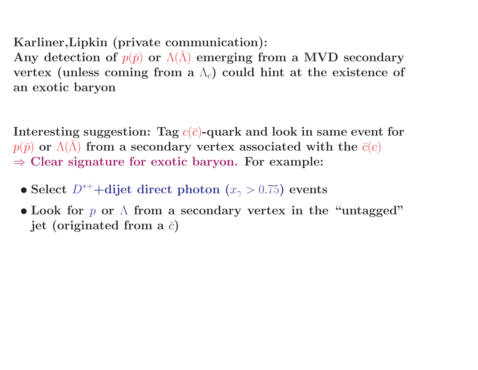## Karliner,Lipkin (private communication):

Any detection of  $p(\bar{p})$  or  $\Lambda(\bar{\Lambda})$  emerging from a MVD secondary vertex (unless coming from a  $\Lambda_c$ ) could hint at the existence of an exotic baryon

Interesting suggestion: Tag  $c(\bar{c})$ -quark and look in same event for  $p(\bar{p})$  or  $\Lambda(\bar{\Lambda})$  from a secondary vertex associated with the  $\bar{c}(c)$  $\Rightarrow$  Clear signature for exotic baryon. For example:

- Select  $D^{*+}$ +dijet direct photon  $(x_2 > 0.75)$  events
- Look for  $p$  or  $\Lambda$  from a secondary vertex in the "untagged" jet (originated from a  $\bar{c}$ )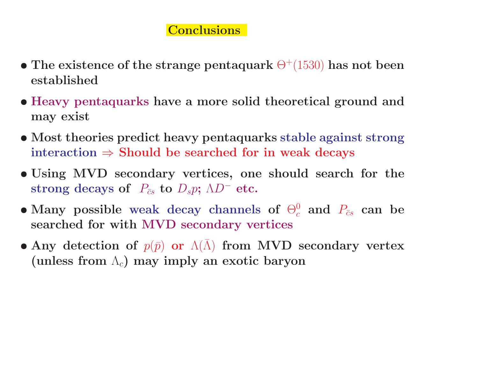## Conclusions

- The existence of the strange pentaquark  $\Theta^+(1530)$  has not been established
- Heavy pentaquarks have a more solid theoretical ground and may exist
- Most theories predict heavy pentaquarks stable against strong interaction  $\Rightarrow$  Should be searched for in weak decays
- Using MVD secondary vertices, one should search for the strong decays of  $P_{\bar{c}s}$  to  $D_s p$ ;  $\Lambda D^-$  etc.
- Many possible weak decay channels of  $\Theta_c^0$  and  $P_{\bar{c}s}$  can be searched for with MVD secondary vertices
- Any detection of  $p(\bar{p})$  or  $\Lambda(\bar{\Lambda})$  from MVD secondary vertex (unless from  $\Lambda_c$ ) may imply an exotic baryon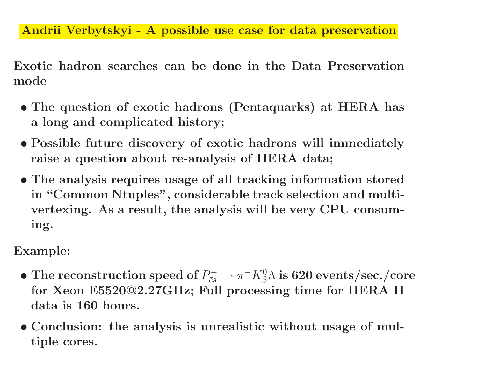Andrii Verbytskyi - A possible use case for data preservation

Exotic hadron searches can be done in the Data Preservation mode

- The question of exotic hadrons (Pentaquarks) at HERA has a long and complicated history;
- Possible future discovery of exotic hadrons will immediately raise a question about re-analysis of HERA data;
- The analysis requires usage of all tracking information stored in "Common Ntuples", considerable track selection and multivertexing. As a result, the analysis will be very CPU consuming.

Example:

- $\bullet$  The reconstruction speed of  $P^-_{\bar c s} \to \pi^- K^0_S \Lambda$  is 620 events/sec./core for Xeon E5520@2.27GHz; Full processing time for HERA II data is 160 hours.
- Conclusion: the analysis is unrealistic without usage of multiple cores.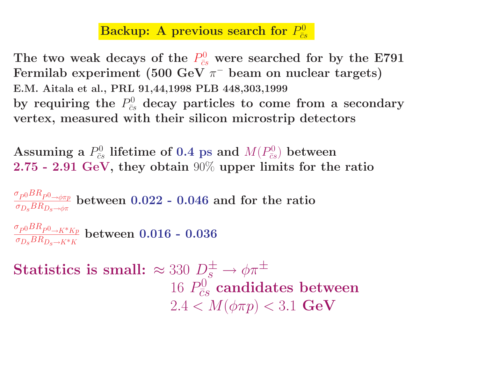## Backup: A previous search for  $P_{\bar{c}s}^0$

The two weak decays of the  $P_{\bar{c}s}^0$  were searched for by the E791 Fermilab experiment (500 GeV  $\pi^-$  beam on nuclear targets) E.M. Aitala et al., PRL 91,44,1998 PLB 448,303,1999 by requiring the  $P^0_{\bar cs}$  decay particles to come from a secondary vertex, measured with their silicon microstrip detectors

Assuming a  $P^0_{\bar cs}$  lifetime of 0.4 ps and  $M(P^0_{\bar cs})$  between 2.75 - 2.91 GeV, they obtain 90% upper limits for the ratio

 $\sigma_{P^0}BR_{P^0\to \phi\pi p}$  $\sigma_{D_S}BR_{D_S\rightarrow\phi\pi}$ between 0.022 - 0.046 and for the ratio  $\sigma_{P^0}BR_{P^0\to K^*Kp}$  $\sigma_{D_S}BR_{D_S\rightarrow K^*K}$ between 0.016 - 0.036 Statistics is small:  $\approx 330 D_s^{\pm} \rightarrow \phi \pi^{\pm}$ 16  $P_{\overline{c}s}^0$  candidates between  $2.4 < M(\phi \pi p) < 3.1$  GeV